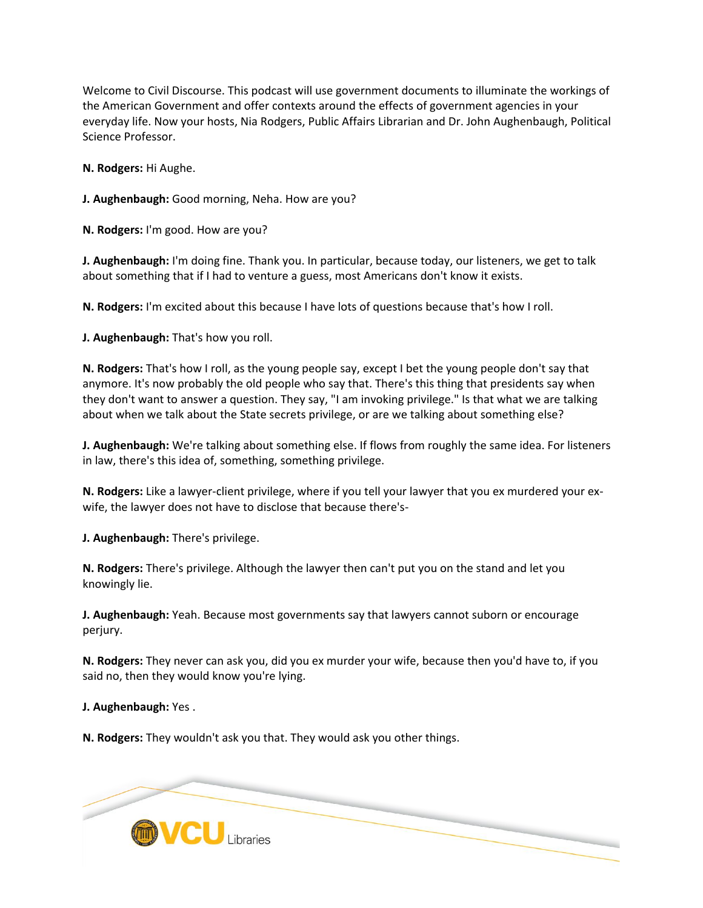Welcome to Civil Discourse. This podcast will use government documents to illuminate the workings of the American Government and offer contexts around the effects of government agencies in your everyday life. Now your hosts, Nia Rodgers, Public Affairs Librarian and Dr. John Aughenbaugh, Political Science Professor.

**N. Rodgers:** Hi Aughe.

**J. Aughenbaugh:** Good morning, Neha. How are you?

**N. Rodgers:** I'm good. How are you?

**J. Aughenbaugh:** I'm doing fine. Thank you. In particular, because today, our listeners, we get to talk about something that if I had to venture a guess, most Americans don't know it exists.

**N. Rodgers:** I'm excited about this because I have lots of questions because that's how I roll.

**J. Aughenbaugh:** That's how you roll.

**N. Rodgers:** That's how I roll, as the young people say, except I bet the young people don't say that anymore. It's now probably the old people who say that. There's this thing that presidents say when they don't want to answer a question. They say, "I am invoking privilege." Is that what we are talking about when we talk about the State secrets privilege, or are we talking about something else?

**J. Aughenbaugh:** We're talking about something else. If flows from roughly the same idea. For listeners in law, there's this idea of, something, something privilege.

**N. Rodgers:** Like a lawyer-client privilege, where if you tell your lawyer that you ex murdered your exwife, the lawyer does not have to disclose that because there's-

**J. Aughenbaugh:** There's privilege.

**N. Rodgers:** There's privilege. Although the lawyer then can't put you on the stand and let you knowingly lie.

**J. Aughenbaugh:** Yeah. Because most governments say that lawyers cannot suborn or encourage perjury.

**N. Rodgers:** They never can ask you, did you ex murder your wife, because then you'd have to, if you said no, then they would know you're lying.

**J. Aughenbaugh:** Yes .

**N. Rodgers:** They wouldn't ask you that. They would ask you other things.

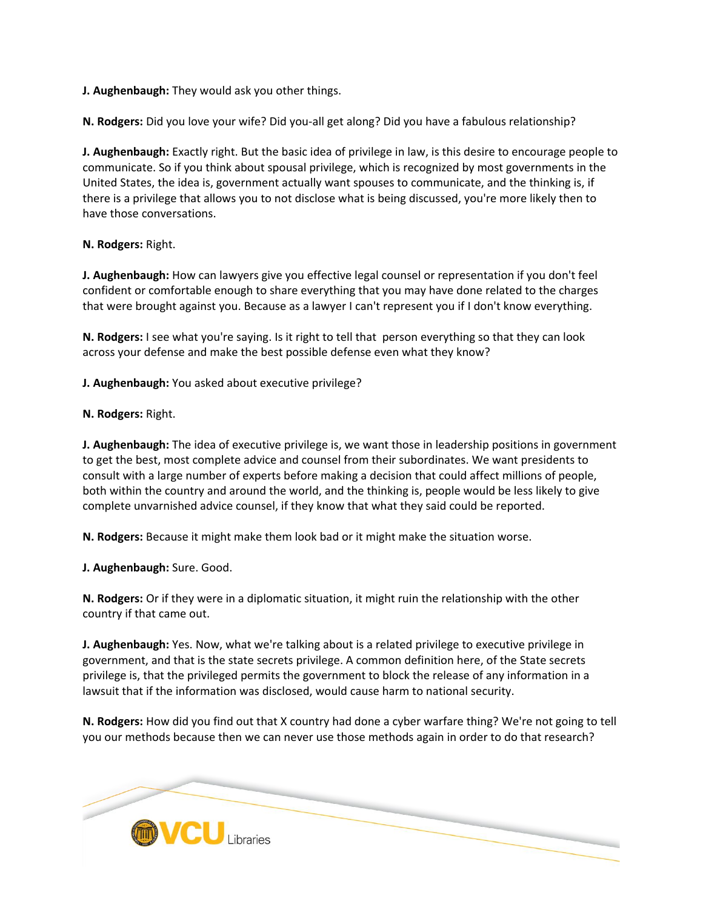**J. Aughenbaugh:** They would ask you other things.

**N. Rodgers:** Did you love your wife? Did you-all get along? Did you have a fabulous relationship?

**J. Aughenbaugh:** Exactly right. But the basic idea of privilege in law, is this desire to encourage people to communicate. So if you think about spousal privilege, which is recognized by most governments in the United States, the idea is, government actually want spouses to communicate, and the thinking is, if there is a privilege that allows you to not disclose what is being discussed, you're more likely then to have those conversations.

## **N. Rodgers:** Right.

**J. Aughenbaugh:** How can lawyers give you effective legal counsel or representation if you don't feel confident or comfortable enough to share everything that you may have done related to the charges that were brought against you. Because as a lawyer I can't represent you if I don't know everything.

**N. Rodgers:** I see what you're saying. Is it right to tell that person everything so that they can look across your defense and make the best possible defense even what they know?

**J. Aughenbaugh:** You asked about executive privilege?

# **N. Rodgers:** Right.

**J. Aughenbaugh:** The idea of executive privilege is, we want those in leadership positions in government to get the best, most complete advice and counsel from their subordinates. We want presidents to consult with a large number of experts before making a decision that could affect millions of people, both within the country and around the world, and the thinking is, people would be less likely to give complete unvarnished advice counsel, if they know that what they said could be reported.

**N. Rodgers:** Because it might make them look bad or it might make the situation worse.

**J. Aughenbaugh:** Sure. Good.

**N. Rodgers:** Or if they were in a diplomatic situation, it might ruin the relationship with the other country if that came out.

**J. Aughenbaugh:** Yes. Now, what we're talking about is a related privilege to executive privilege in government, and that is the state secrets privilege. A common definition here, of the State secrets privilege is, that the privileged permits the government to block the release of any information in a lawsuit that if the information was disclosed, would cause harm to national security.

**N. Rodgers:** How did you find out that X country had done a cyber warfare thing? We're not going to tell you our methods because then we can never use those methods again in order to do that research?

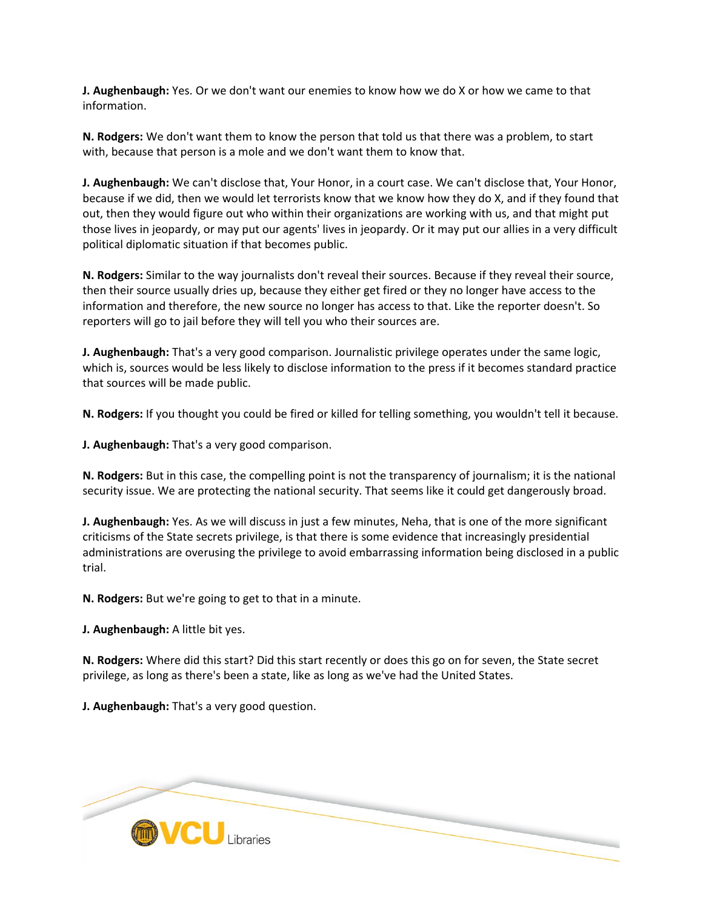**J. Aughenbaugh:** Yes. Or we don't want our enemies to know how we do X or how we came to that information.

**N. Rodgers:** We don't want them to know the person that told us that there was a problem, to start with, because that person is a mole and we don't want them to know that.

**J. Aughenbaugh:** We can't disclose that, Your Honor, in a court case. We can't disclose that, Your Honor, because if we did, then we would let terrorists know that we know how they do X, and if they found that out, then they would figure out who within their organizations are working with us, and that might put those lives in jeopardy, or may put our agents' lives in jeopardy. Or it may put our allies in a very difficult political diplomatic situation if that becomes public.

**N. Rodgers:** Similar to the way journalists don't reveal their sources. Because if they reveal their source, then their source usually dries up, because they either get fired or they no longer have access to the information and therefore, the new source no longer has access to that. Like the reporter doesn't. So reporters will go to jail before they will tell you who their sources are.

**J. Aughenbaugh:** That's a very good comparison. Journalistic privilege operates under the same logic, which is, sources would be less likely to disclose information to the press if it becomes standard practice that sources will be made public.

**N. Rodgers:** If you thought you could be fired or killed for telling something, you wouldn't tell it because.

**J. Aughenbaugh:** That's a very good comparison.

**N. Rodgers:** But in this case, the compelling point is not the transparency of journalism; it is the national security issue. We are protecting the national security. That seems like it could get dangerously broad.

**J. Aughenbaugh:** Yes. As we will discuss in just a few minutes, Neha, that is one of the more significant criticisms of the State secrets privilege, is that there is some evidence that increasingly presidential administrations are overusing the privilege to avoid embarrassing information being disclosed in a public trial.

**N. Rodgers:** But we're going to get to that in a minute.

**J. Aughenbaugh:** A little bit yes.

**N. Rodgers:** Where did this start? Did this start recently or does this go on for seven, the State secret privilege, as long as there's been a state, like as long as we've had the United States.

**J. Aughenbaugh:** That's a very good question.

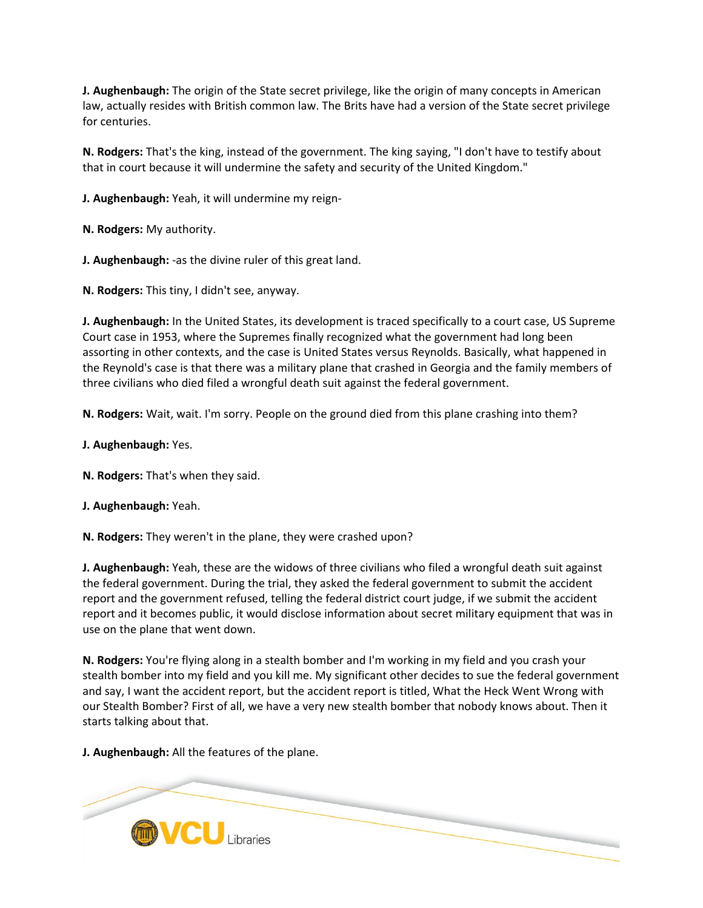**J. Aughenbaugh:** The origin of the State secret privilege, like the origin of many concepts in American law, actually resides with British common law. The Brits have had a version of the State secret privilege for centuries.

**N. Rodgers:** That's the king, instead of the government. The king saying, "I don't have to testify about that in court because it will undermine the safety and security of the United Kingdom."

**J. Aughenbaugh:** Yeah, it will undermine my reign-

**N. Rodgers:** My authority.

**J. Aughenbaugh:** -as the divine ruler of this great land.

**N. Rodgers:** This tiny, I didn't see, anyway.

**J. Aughenbaugh:** In the United States, its development is traced specifically to a court case, US Supreme Court case in 1953, where the Supremes finally recognized what the government had long been assorting in other contexts, and the case is United States versus Reynolds. Basically, what happened in the Reynold's case is that there was a military plane that crashed in Georgia and the family members of three civilians who died filed a wrongful death suit against the federal government.

**N. Rodgers:** Wait, wait. I'm sorry. People on the ground died from this plane crashing into them?

- **J. Aughenbaugh:** Yes.
- **N. Rodgers:** That's when they said.
- **J. Aughenbaugh:** Yeah.
- **N. Rodgers:** They weren't in the plane, they were crashed upon?

**J. Aughenbaugh:** Yeah, these are the widows of three civilians who filed a wrongful death suit against the federal government. During the trial, they asked the federal government to submit the accident report and the government refused, telling the federal district court judge, if we submit the accident report and it becomes public, it would disclose information about secret military equipment that was in use on the plane that went down.

**N. Rodgers:** You're flying along in a stealth bomber and I'm working in my field and you crash your stealth bomber into my field and you kill me. My significant other decides to sue the federal government and say, I want the accident report, but the accident report is titled, What the Heck Went Wrong with our Stealth Bomber? First of all, we have a very new stealth bomber that nobody knows about. Then it starts talking about that.

**J. Aughenbaugh:** All the features of the plane.

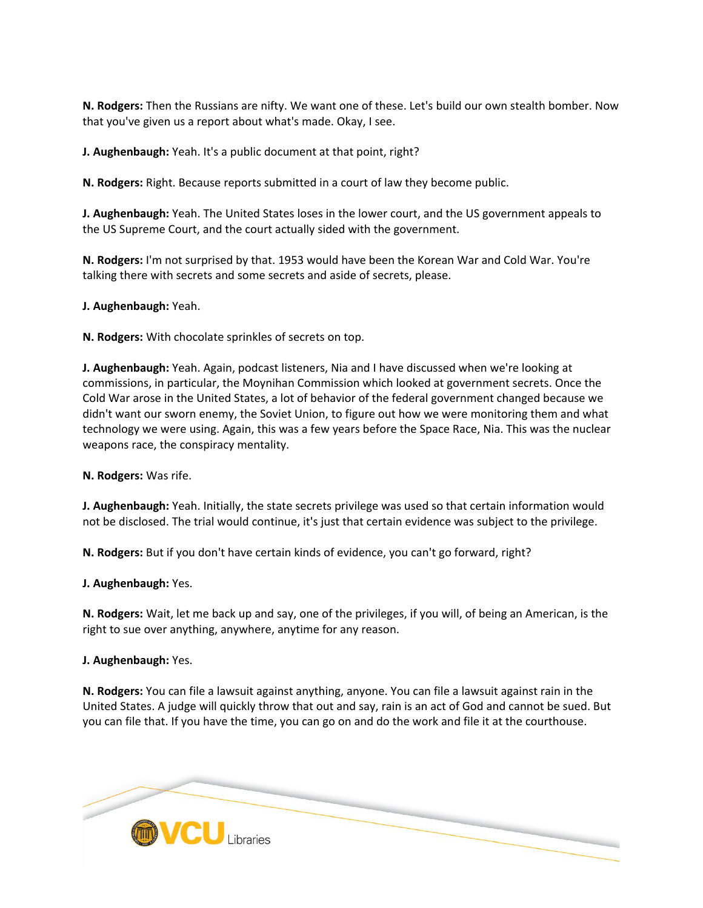**N. Rodgers:** Then the Russians are nifty. We want one of these. Let's build our own stealth bomber. Now that you've given us a report about what's made. Okay, I see.

**J. Aughenbaugh:** Yeah. It's a public document at that point, right?

**N. Rodgers:** Right. Because reports submitted in a court of law they become public.

**J. Aughenbaugh:** Yeah. The United States loses in the lower court, and the US government appeals to the US Supreme Court, and the court actually sided with the government.

**N. Rodgers:** I'm not surprised by that. 1953 would have been the Korean War and Cold War. You're talking there with secrets and some secrets and aside of secrets, please.

**J. Aughenbaugh:** Yeah.

**N. Rodgers:** With chocolate sprinkles of secrets on top.

**J. Aughenbaugh:** Yeah. Again, podcast listeners, Nia and I have discussed when we're looking at commissions, in particular, the Moynihan Commission which looked at government secrets. Once the Cold War arose in the United States, a lot of behavior of the federal government changed because we didn't want our sworn enemy, the Soviet Union, to figure out how we were monitoring them and what technology we were using. Again, this was a few years before the Space Race, Nia. This was the nuclear weapons race, the conspiracy mentality.

**N. Rodgers:** Was rife.

**J. Aughenbaugh:** Yeah. Initially, the state secrets privilege was used so that certain information would not be disclosed. The trial would continue, it's just that certain evidence was subject to the privilege.

**N. Rodgers:** But if you don't have certain kinds of evidence, you can't go forward, right?

**J. Aughenbaugh:** Yes.

**N. Rodgers:** Wait, let me back up and say, one of the privileges, if you will, of being an American, is the right to sue over anything, anywhere, anytime for any reason.

**J. Aughenbaugh:** Yes.

**N. Rodgers:** You can file a lawsuit against anything, anyone. You can file a lawsuit against rain in the United States. A judge will quickly throw that out and say, rain is an act of God and cannot be sued. But you can file that. If you have the time, you can go on and do the work and file it at the courthouse.

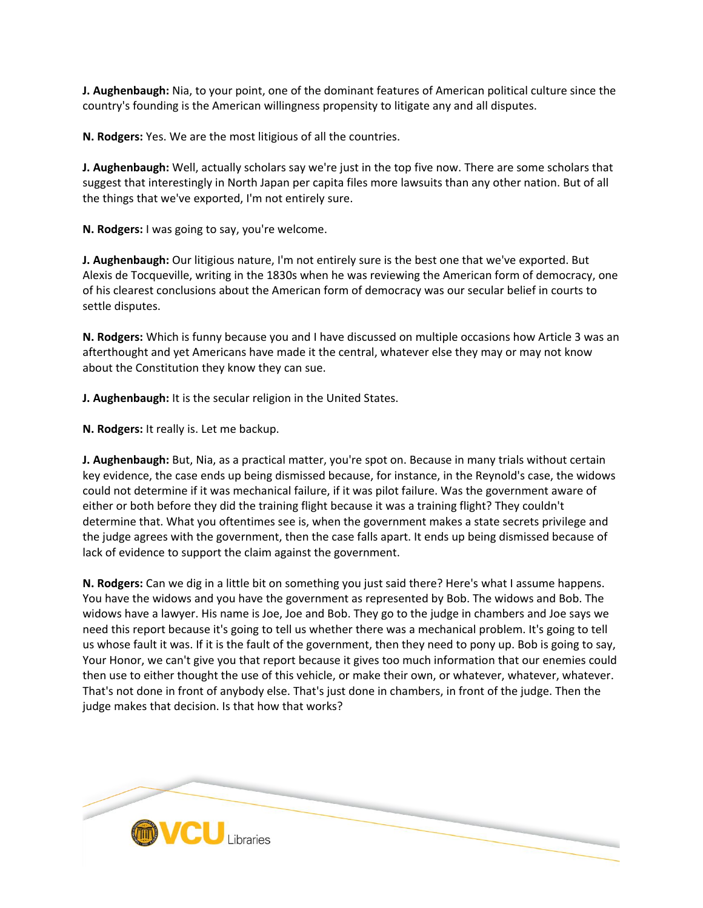**J. Aughenbaugh:** Nia, to your point, one of the dominant features of American political culture since the country's founding is the American willingness propensity to litigate any and all disputes.

**N. Rodgers:** Yes. We are the most litigious of all the countries.

**J. Aughenbaugh:** Well, actually scholars say we're just in the top five now. There are some scholars that suggest that interestingly in North Japan per capita files more lawsuits than any other nation. But of all the things that we've exported, I'm not entirely sure.

**N. Rodgers:** I was going to say, you're welcome.

**J. Aughenbaugh:** Our litigious nature, I'm not entirely sure is the best one that we've exported. But Alexis de Tocqueville, writing in the 1830s when he was reviewing the American form of democracy, one of his clearest conclusions about the American form of democracy was our secular belief in courts to settle disputes.

**N. Rodgers:** Which is funny because you and I have discussed on multiple occasions how Article 3 was an afterthought and yet Americans have made it the central, whatever else they may or may not know about the Constitution they know they can sue.

**J. Aughenbaugh:** It is the secular religion in the United States.

**N. Rodgers:** It really is. Let me backup.

**J. Aughenbaugh:** But, Nia, as a practical matter, you're spot on. Because in many trials without certain key evidence, the case ends up being dismissed because, for instance, in the Reynold's case, the widows could not determine if it was mechanical failure, if it was pilot failure. Was the government aware of either or both before they did the training flight because it was a training flight? They couldn't determine that. What you oftentimes see is, when the government makes a state secrets privilege and the judge agrees with the government, then the case falls apart. It ends up being dismissed because of lack of evidence to support the claim against the government.

**N. Rodgers:** Can we dig in a little bit on something you just said there? Here's what I assume happens. You have the widows and you have the government as represented by Bob. The widows and Bob. The widows have a lawyer. His name is Joe, Joe and Bob. They go to the judge in chambers and Joe says we need this report because it's going to tell us whether there was a mechanical problem. It's going to tell us whose fault it was. If it is the fault of the government, then they need to pony up. Bob is going to say, Your Honor, we can't give you that report because it gives too much information that our enemies could then use to either thought the use of this vehicle, or make their own, or whatever, whatever, whatever. That's not done in front of anybody else. That's just done in chambers, in front of the judge. Then the judge makes that decision. Is that how that works?

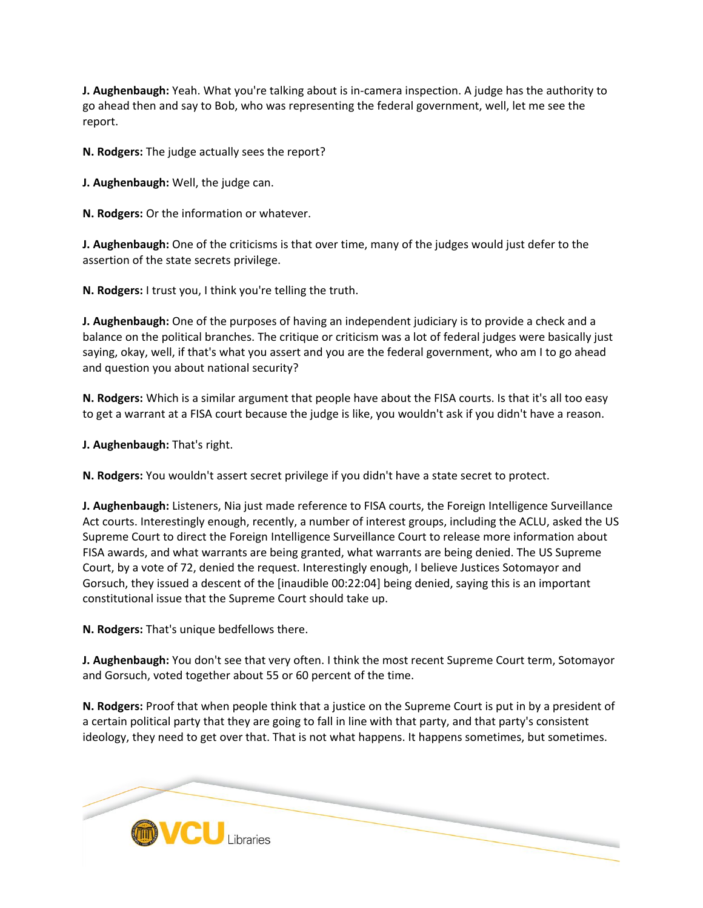**J. Aughenbaugh:** Yeah. What you're talking about is in-camera inspection. A judge has the authority to go ahead then and say to Bob, who was representing the federal government, well, let me see the report.

**N. Rodgers:** The judge actually sees the report?

**J. Aughenbaugh:** Well, the judge can.

**N. Rodgers:** Or the information or whatever.

**J. Aughenbaugh:** One of the criticisms is that over time, many of the judges would just defer to the assertion of the state secrets privilege.

**N. Rodgers:** I trust you, I think you're telling the truth.

**J. Aughenbaugh:** One of the purposes of having an independent judiciary is to provide a check and a balance on the political branches. The critique or criticism was a lot of federal judges were basically just saying, okay, well, if that's what you assert and you are the federal government, who am I to go ahead and question you about national security?

**N. Rodgers:** Which is a similar argument that people have about the FISA courts. Is that it's all too easy to get a warrant at a FISA court because the judge is like, you wouldn't ask if you didn't have a reason.

**J. Aughenbaugh:** That's right.

**N. Rodgers:** You wouldn't assert secret privilege if you didn't have a state secret to protect.

**J. Aughenbaugh:** Listeners, Nia just made reference to FISA courts, the Foreign Intelligence Surveillance Act courts. Interestingly enough, recently, a number of interest groups, including the ACLU, asked the US Supreme Court to direct the Foreign Intelligence Surveillance Court to release more information about FISA awards, and what warrants are being granted, what warrants are being denied. The US Supreme Court, by a vote of 72, denied the request. Interestingly enough, I believe Justices Sotomayor and Gorsuch, they issued a descent of the [inaudible 00:22:04] being denied, saying this is an important constitutional issue that the Supreme Court should take up.

**N. Rodgers:** That's unique bedfellows there.

**J. Aughenbaugh:** You don't see that very often. I think the most recent Supreme Court term, Sotomayor and Gorsuch, voted together about 55 or 60 percent of the time.

**N. Rodgers:** Proof that when people think that a justice on the Supreme Court is put in by a president of a certain political party that they are going to fall in line with that party, and that party's consistent ideology, they need to get over that. That is not what happens. It happens sometimes, but sometimes.

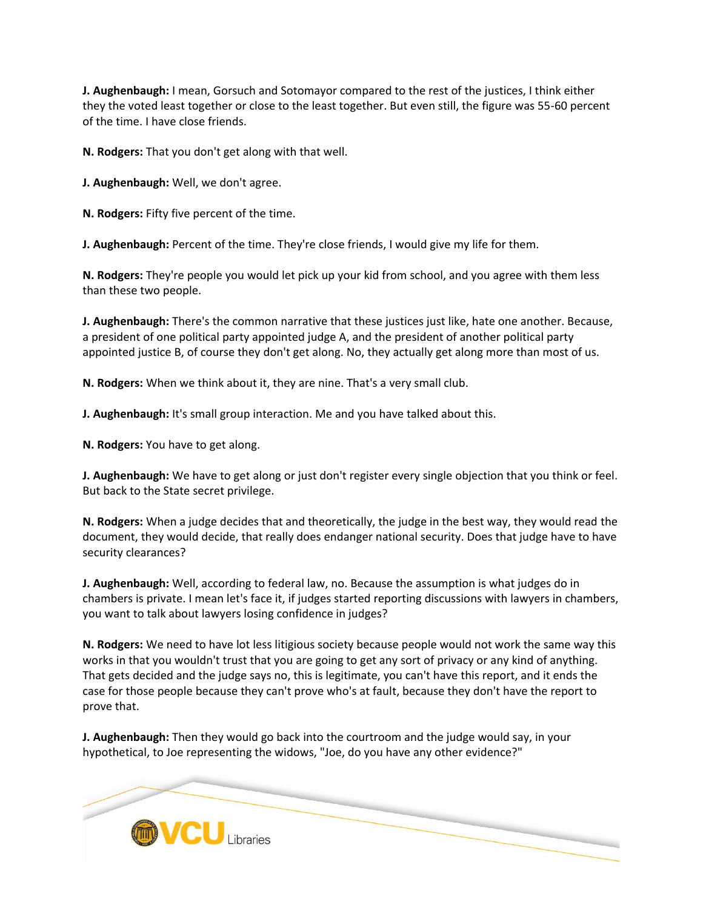**J. Aughenbaugh:** I mean, Gorsuch and Sotomayor compared to the rest of the justices, I think either they the voted least together or close to the least together. But even still, the figure was 55-60 percent of the time. I have close friends.

**N. Rodgers:** That you don't get along with that well.

**J. Aughenbaugh:** Well, we don't agree.

**N. Rodgers:** Fifty five percent of the time.

**J. Aughenbaugh:** Percent of the time. They're close friends, I would give my life for them.

**N. Rodgers:** They're people you would let pick up your kid from school, and you agree with them less than these two people.

**J. Aughenbaugh:** There's the common narrative that these justices just like, hate one another. Because, a president of one political party appointed judge A, and the president of another political party appointed justice B, of course they don't get along. No, they actually get along more than most of us.

**N. Rodgers:** When we think about it, they are nine. That's a very small club.

**J. Aughenbaugh:** It's small group interaction. Me and you have talked about this.

**N. Rodgers:** You have to get along.

**J. Aughenbaugh:** We have to get along or just don't register every single objection that you think or feel. But back to the State secret privilege.

**N. Rodgers:** When a judge decides that and theoretically, the judge in the best way, they would read the document, they would decide, that really does endanger national security. Does that judge have to have security clearances?

**J. Aughenbaugh:** Well, according to federal law, no. Because the assumption is what judges do in chambers is private. I mean let's face it, if judges started reporting discussions with lawyers in chambers, you want to talk about lawyers losing confidence in judges?

**N. Rodgers:** We need to have lot less litigious society because people would not work the same way this works in that you wouldn't trust that you are going to get any sort of privacy or any kind of anything. That gets decided and the judge says no, this is legitimate, you can't have this report, and it ends the case for those people because they can't prove who's at fault, because they don't have the report to prove that.

**J. Aughenbaugh:** Then they would go back into the courtroom and the judge would say, in your hypothetical, to Joe representing the widows, "Joe, do you have any other evidence?"

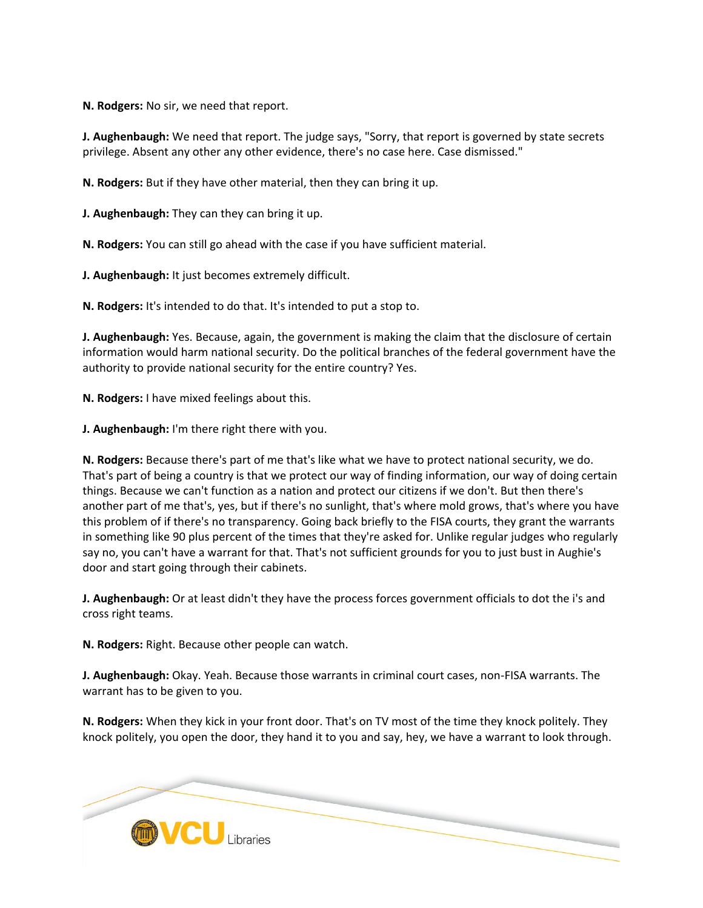**N. Rodgers:** No sir, we need that report.

**J. Aughenbaugh:** We need that report. The judge says, "Sorry, that report is governed by state secrets privilege. Absent any other any other evidence, there's no case here. Case dismissed."

**N. Rodgers:** But if they have other material, then they can bring it up.

**J. Aughenbaugh:** They can they can bring it up.

**N. Rodgers:** You can still go ahead with the case if you have sufficient material.

**J. Aughenbaugh:** It just becomes extremely difficult.

**N. Rodgers:** It's intended to do that. It's intended to put a stop to.

**J. Aughenbaugh:** Yes. Because, again, the government is making the claim that the disclosure of certain information would harm national security. Do the political branches of the federal government have the authority to provide national security for the entire country? Yes.

**N. Rodgers:** I have mixed feelings about this.

**J. Aughenbaugh:** I'm there right there with you.

**N. Rodgers:** Because there's part of me that's like what we have to protect national security, we do. That's part of being a country is that we protect our way of finding information, our way of doing certain things. Because we can't function as a nation and protect our citizens if we don't. But then there's another part of me that's, yes, but if there's no sunlight, that's where mold grows, that's where you have this problem of if there's no transparency. Going back briefly to the FISA courts, they grant the warrants in something like 90 plus percent of the times that they're asked for. Unlike regular judges who regularly say no, you can't have a warrant for that. That's not sufficient grounds for you to just bust in Aughie's door and start going through their cabinets.

**J. Aughenbaugh:** Or at least didn't they have the process forces government officials to dot the i's and cross right teams.

**N. Rodgers:** Right. Because other people can watch.

**J. Aughenbaugh:** Okay. Yeah. Because those warrants in criminal court cases, non-FISA warrants. The warrant has to be given to you.

**N. Rodgers:** When they kick in your front door. That's on TV most of the time they knock politely. They knock politely, you open the door, they hand it to you and say, hey, we have a warrant to look through.

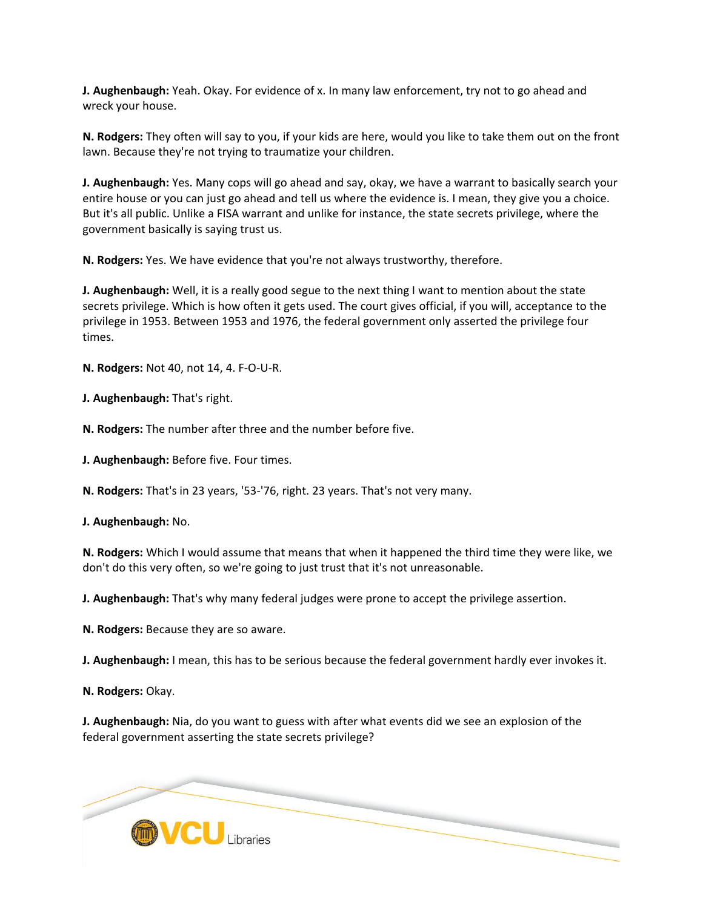**J. Aughenbaugh:** Yeah. Okay. For evidence of x. In many law enforcement, try not to go ahead and wreck your house.

**N. Rodgers:** They often will say to you, if your kids are here, would you like to take them out on the front lawn. Because they're not trying to traumatize your children.

**J. Aughenbaugh:** Yes. Many cops will go ahead and say, okay, we have a warrant to basically search your entire house or you can just go ahead and tell us where the evidence is. I mean, they give you a choice. But it's all public. Unlike a FISA warrant and unlike for instance, the state secrets privilege, where the government basically is saying trust us.

**N. Rodgers:** Yes. We have evidence that you're not always trustworthy, therefore.

**J. Aughenbaugh:** Well, it is a really good segue to the next thing I want to mention about the state secrets privilege. Which is how often it gets used. The court gives official, if you will, acceptance to the privilege in 1953. Between 1953 and 1976, the federal government only asserted the privilege four times.

**N. Rodgers:** Not 40, not 14, 4. F-O-U-R.

**J. Aughenbaugh:** That's right.

**N. Rodgers:** The number after three and the number before five.

**J. Aughenbaugh:** Before five. Four times.

**N. Rodgers:** That's in 23 years, '53-'76, right. 23 years. That's not very many.

**J. Aughenbaugh:** No.

**N. Rodgers:** Which I would assume that means that when it happened the third time they were like, we don't do this very often, so we're going to just trust that it's not unreasonable.

**J. Aughenbaugh:** That's why many federal judges were prone to accept the privilege assertion.

**N. Rodgers:** Because they are so aware.

**J. Aughenbaugh:** I mean, this has to be serious because the federal government hardly ever invokes it.

**N. Rodgers:** Okay.

**J. Aughenbaugh:** Nia, do you want to guess with after what events did we see an explosion of the federal government asserting the state secrets privilege?

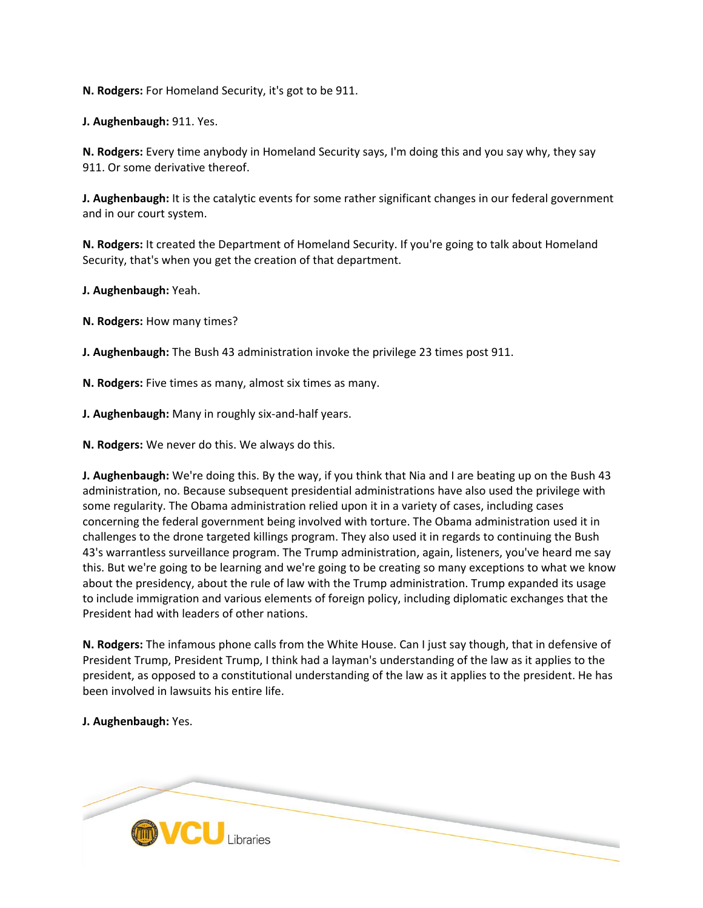**N. Rodgers:** For Homeland Security, it's got to be 911.

**J. Aughenbaugh:** 911. Yes.

**N. Rodgers:** Every time anybody in Homeland Security says, I'm doing this and you say why, they say 911. Or some derivative thereof.

**J. Aughenbaugh:** It is the catalytic events for some rather significant changes in our federal government and in our court system.

**N. Rodgers:** It created the Department of Homeland Security. If you're going to talk about Homeland Security, that's when you get the creation of that department.

**J. Aughenbaugh:** Yeah.

**N. Rodgers:** How many times?

**J. Aughenbaugh:** The Bush 43 administration invoke the privilege 23 times post 911.

**N. Rodgers:** Five times as many, almost six times as many.

**J. Aughenbaugh:** Many in roughly six-and-half years.

**N. Rodgers:** We never do this. We always do this.

**J. Aughenbaugh:** We're doing this. By the way, if you think that Nia and I are beating up on the Bush 43 administration, no. Because subsequent presidential administrations have also used the privilege with some regularity. The Obama administration relied upon it in a variety of cases, including cases concerning the federal government being involved with torture. The Obama administration used it in challenges to the drone targeted killings program. They also used it in regards to continuing the Bush 43's warrantless surveillance program. The Trump administration, again, listeners, you've heard me say this. But we're going to be learning and we're going to be creating so many exceptions to what we know about the presidency, about the rule of law with the Trump administration. Trump expanded its usage to include immigration and various elements of foreign policy, including diplomatic exchanges that the President had with leaders of other nations.

**N. Rodgers:** The infamous phone calls from the White House. Can I just say though, that in defensive of President Trump, President Trump, I think had a layman's understanding of the law as it applies to the president, as opposed to a constitutional understanding of the law as it applies to the president. He has been involved in lawsuits his entire life.

**J. Aughenbaugh:** Yes.

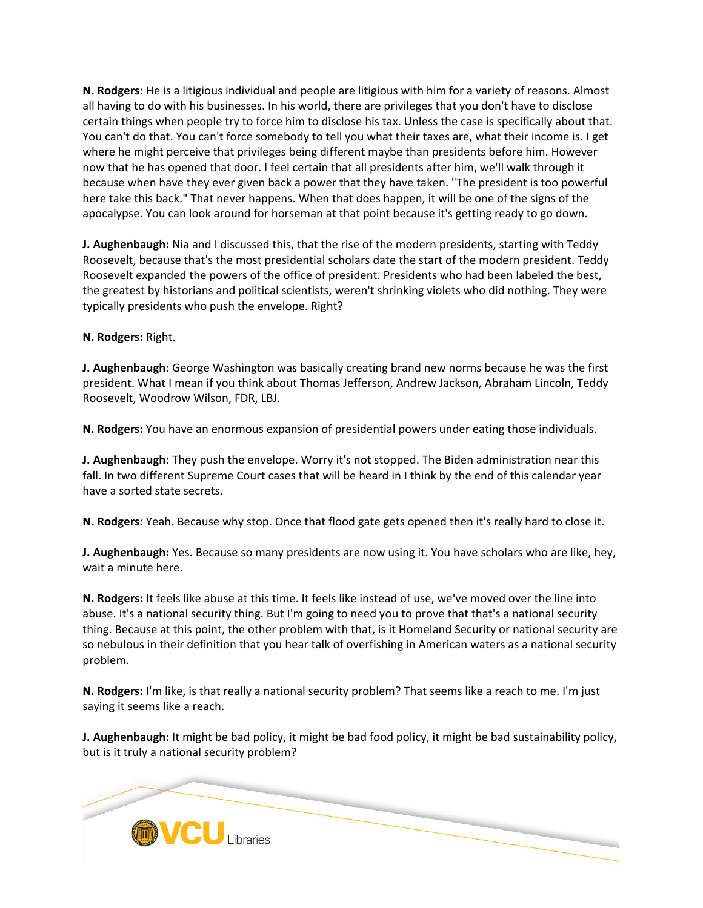**N. Rodgers:** He is a litigious individual and people are litigious with him for a variety of reasons. Almost all having to do with his businesses. In his world, there are privileges that you don't have to disclose certain things when people try to force him to disclose his tax. Unless the case is specifically about that. You can't do that. You can't force somebody to tell you what their taxes are, what their income is. I get where he might perceive that privileges being different maybe than presidents before him. However now that he has opened that door. I feel certain that all presidents after him, we'll walk through it because when have they ever given back a power that they have taken. "The president is too powerful here take this back." That never happens. When that does happen, it will be one of the signs of the apocalypse. You can look around for horseman at that point because it's getting ready to go down.

**J. Aughenbaugh:** Nia and I discussed this, that the rise of the modern presidents, starting with Teddy Roosevelt, because that's the most presidential scholars date the start of the modern president. Teddy Roosevelt expanded the powers of the office of president. Presidents who had been labeled the best, the greatest by historians and political scientists, weren't shrinking violets who did nothing. They were typically presidents who push the envelope. Right?

# **N. Rodgers:** Right.

**J. Aughenbaugh:** George Washington was basically creating brand new norms because he was the first president. What I mean if you think about Thomas Jefferson, Andrew Jackson, Abraham Lincoln, Teddy Roosevelt, Woodrow Wilson, FDR, LBJ.

**N. Rodgers:** You have an enormous expansion of presidential powers under eating those individuals.

**J. Aughenbaugh:** They push the envelope. Worry it's not stopped. The Biden administration near this fall. In two different Supreme Court cases that will be heard in I think by the end of this calendar year have a sorted state secrets.

**N. Rodgers:** Yeah. Because why stop. Once that flood gate gets opened then it's really hard to close it.

**J. Aughenbaugh:** Yes. Because so many presidents are now using it. You have scholars who are like, hey, wait a minute here.

**N. Rodgers:** It feels like abuse at this time. It feels like instead of use, we've moved over the line into abuse. It's a national security thing. But I'm going to need you to prove that that's a national security thing. Because at this point, the other problem with that, is it Homeland Security or national security are so nebulous in their definition that you hear talk of overfishing in American waters as a national security problem.

**N. Rodgers:** I'm like, is that really a national security problem? That seems like a reach to me. I'm just saying it seems like a reach.

**J. Aughenbaugh:** It might be bad policy, it might be bad food policy, it might be bad sustainability policy, but is it truly a national security problem?

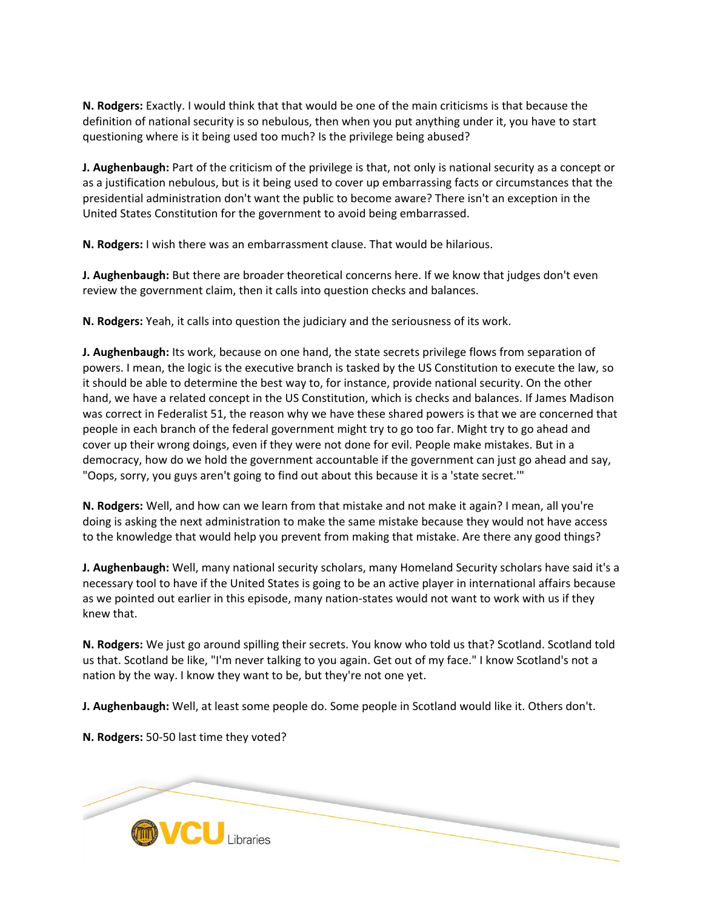**N. Rodgers:** Exactly. I would think that that would be one of the main criticisms is that because the definition of national security is so nebulous, then when you put anything under it, you have to start questioning where is it being used too much? Is the privilege being abused?

**J. Aughenbaugh:** Part of the criticism of the privilege is that, not only is national security as a concept or as a justification nebulous, but is it being used to cover up embarrassing facts or circumstances that the presidential administration don't want the public to become aware? There isn't an exception in the United States Constitution for the government to avoid being embarrassed.

**N. Rodgers:** I wish there was an embarrassment clause. That would be hilarious.

**J. Aughenbaugh:** But there are broader theoretical concerns here. If we know that judges don't even review the government claim, then it calls into question checks and balances.

**N. Rodgers:** Yeah, it calls into question the judiciary and the seriousness of its work.

**J. Aughenbaugh:** Its work, because on one hand, the state secrets privilege flows from separation of powers. I mean, the logic is the executive branch is tasked by the US Constitution to execute the law, so it should be able to determine the best way to, for instance, provide national security. On the other hand, we have a related concept in the US Constitution, which is checks and balances. If James Madison was correct in Federalist 51, the reason why we have these shared powers is that we are concerned that people in each branch of the federal government might try to go too far. Might try to go ahead and cover up their wrong doings, even if they were not done for evil. People make mistakes. But in a democracy, how do we hold the government accountable if the government can just go ahead and say, "Oops, sorry, you guys aren't going to find out about this because it is a 'state secret.'"

**N. Rodgers:** Well, and how can we learn from that mistake and not make it again? I mean, all you're doing is asking the next administration to make the same mistake because they would not have access to the knowledge that would help you prevent from making that mistake. Are there any good things?

**J. Aughenbaugh:** Well, many national security scholars, many Homeland Security scholars have said it's a necessary tool to have if the United States is going to be an active player in international affairs because as we pointed out earlier in this episode, many nation-states would not want to work with us if they knew that.

**N. Rodgers:** We just go around spilling their secrets. You know who told us that? Scotland. Scotland told us that. Scotland be like, "I'm never talking to you again. Get out of my face." I know Scotland's not a nation by the way. I know they want to be, but they're not one yet.

**J. Aughenbaugh:** Well, at least some people do. Some people in Scotland would like it. Others don't.

**N. Rodgers:** 50-50 last time they voted?

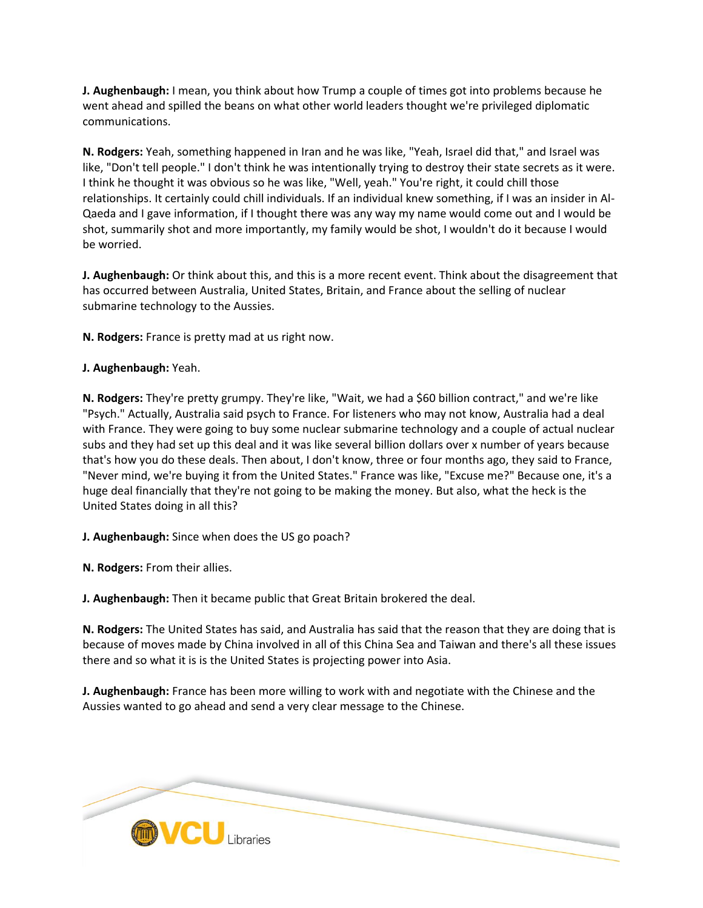**J. Aughenbaugh:** I mean, you think about how Trump a couple of times got into problems because he went ahead and spilled the beans on what other world leaders thought we're privileged diplomatic communications.

**N. Rodgers:** Yeah, something happened in Iran and he was like, "Yeah, Israel did that," and Israel was like, "Don't tell people." I don't think he was intentionally trying to destroy their state secrets as it were. I think he thought it was obvious so he was like, "Well, yeah." You're right, it could chill those relationships. It certainly could chill individuals. If an individual knew something, if I was an insider in Al-Qaeda and I gave information, if I thought there was any way my name would come out and I would be shot, summarily shot and more importantly, my family would be shot, I wouldn't do it because I would be worried.

**J. Aughenbaugh:** Or think about this, and this is a more recent event. Think about the disagreement that has occurred between Australia, United States, Britain, and France about the selling of nuclear submarine technology to the Aussies.

**N. Rodgers:** France is pretty mad at us right now.

# **J. Aughenbaugh:** Yeah.

**N. Rodgers:** They're pretty grumpy. They're like, "Wait, we had a \$60 billion contract," and we're like "Psych." Actually, Australia said psych to France. For listeners who may not know, Australia had a deal with France. They were going to buy some nuclear submarine technology and a couple of actual nuclear subs and they had set up this deal and it was like several billion dollars over x number of years because that's how you do these deals. Then about, I don't know, three or four months ago, they said to France, "Never mind, we're buying it from the United States." France was like, "Excuse me?" Because one, it's a huge deal financially that they're not going to be making the money. But also, what the heck is the United States doing in all this?

**J. Aughenbaugh:** Since when does the US go poach?

**N. Rodgers:** From their allies.

**J. Aughenbaugh:** Then it became public that Great Britain brokered the deal.

**N. Rodgers:** The United States has said, and Australia has said that the reason that they are doing that is because of moves made by China involved in all of this China Sea and Taiwan and there's all these issues there and so what it is is the United States is projecting power into Asia.

**J. Aughenbaugh:** France has been more willing to work with and negotiate with the Chinese and the Aussies wanted to go ahead and send a very clear message to the Chinese.

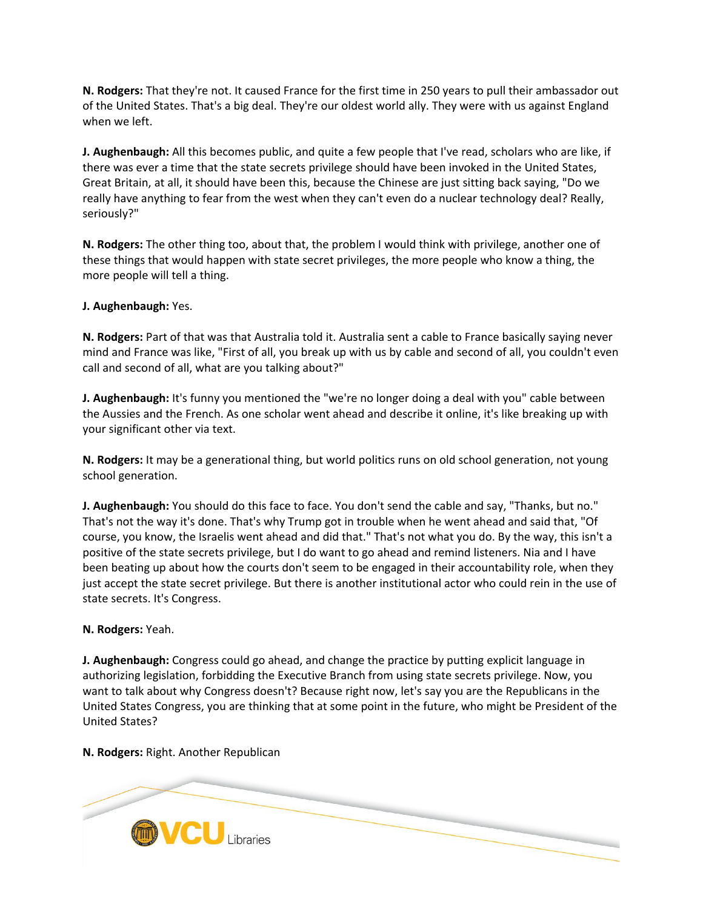**N. Rodgers:** That they're not. It caused France for the first time in 250 years to pull their ambassador out of the United States. That's a big deal. They're our oldest world ally. They were with us against England when we left.

**J. Aughenbaugh:** All this becomes public, and quite a few people that I've read, scholars who are like, if there was ever a time that the state secrets privilege should have been invoked in the United States, Great Britain, at all, it should have been this, because the Chinese are just sitting back saying, "Do we really have anything to fear from the west when they can't even do a nuclear technology deal? Really, seriously?"

**N. Rodgers:** The other thing too, about that, the problem I would think with privilege, another one of these things that would happen with state secret privileges, the more people who know a thing, the more people will tell a thing.

**J. Aughenbaugh:** Yes.

**N. Rodgers:** Part of that was that Australia told it. Australia sent a cable to France basically saying never mind and France was like, "First of all, you break up with us by cable and second of all, you couldn't even call and second of all, what are you talking about?"

**J. Aughenbaugh:** It's funny you mentioned the "we're no longer doing a deal with you" cable between the Aussies and the French. As one scholar went ahead and describe it online, it's like breaking up with your significant other via text.

**N. Rodgers:** It may be a generational thing, but world politics runs on old school generation, not young school generation.

**J. Aughenbaugh:** You should do this face to face. You don't send the cable and say, "Thanks, but no." That's not the way it's done. That's why Trump got in trouble when he went ahead and said that, "Of course, you know, the Israelis went ahead and did that." That's not what you do. By the way, this isn't a positive of the state secrets privilege, but I do want to go ahead and remind listeners. Nia and I have been beating up about how the courts don't seem to be engaged in their accountability role, when they just accept the state secret privilege. But there is another institutional actor who could rein in the use of state secrets. It's Congress.

## **N. Rodgers:** Yeah.

**J. Aughenbaugh:** Congress could go ahead, and change the practice by putting explicit language in authorizing legislation, forbidding the Executive Branch from using state secrets privilege. Now, you want to talk about why Congress doesn't? Because right now, let's say you are the Republicans in the United States Congress, you are thinking that at some point in the future, who might be President of the United States?

**N. Rodgers:** Right. Another Republican

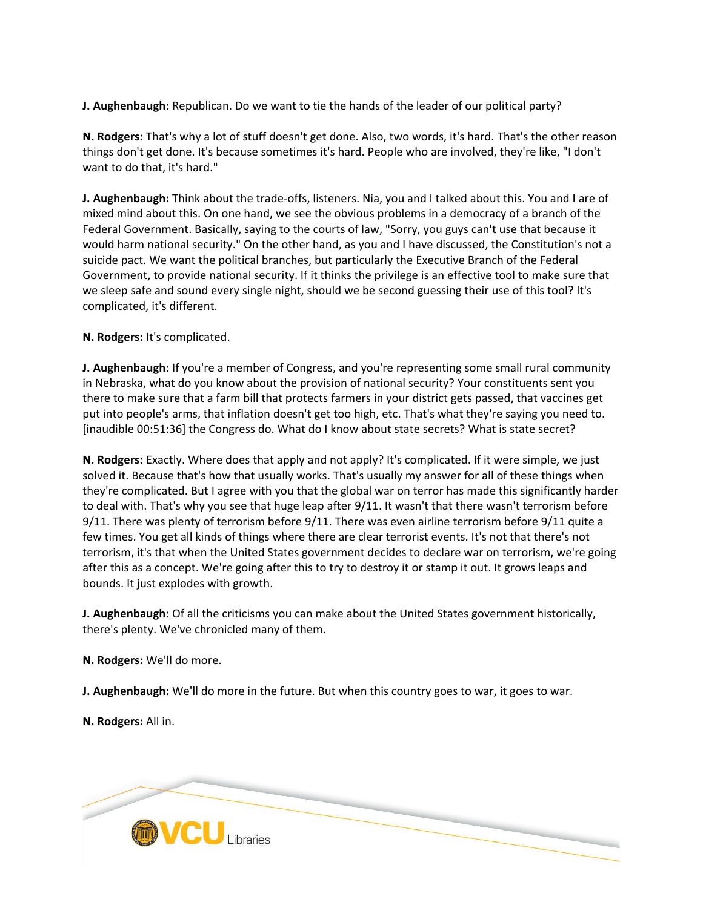**J. Aughenbaugh:** Republican. Do we want to tie the hands of the leader of our political party?

**N. Rodgers:** That's why a lot of stuff doesn't get done. Also, two words, it's hard. That's the other reason things don't get done. It's because sometimes it's hard. People who are involved, they're like, "I don't want to do that, it's hard."

**J. Aughenbaugh:** Think about the trade-offs, listeners. Nia, you and I talked about this. You and I are of mixed mind about this. On one hand, we see the obvious problems in a democracy of a branch of the Federal Government. Basically, saying to the courts of law, "Sorry, you guys can't use that because it would harm national security." On the other hand, as you and I have discussed, the Constitution's not a suicide pact. We want the political branches, but particularly the Executive Branch of the Federal Government, to provide national security. If it thinks the privilege is an effective tool to make sure that we sleep safe and sound every single night, should we be second guessing their use of this tool? It's complicated, it's different.

# **N. Rodgers:** It's complicated.

**J. Aughenbaugh:** If you're a member of Congress, and you're representing some small rural community in Nebraska, what do you know about the provision of national security? Your constituents sent you there to make sure that a farm bill that protects farmers in your district gets passed, that vaccines get put into people's arms, that inflation doesn't get too high, etc. That's what they're saying you need to. [inaudible 00:51:36] the Congress do. What do I know about state secrets? What is state secret?

**N. Rodgers:** Exactly. Where does that apply and not apply? It's complicated. If it were simple, we just solved it. Because that's how that usually works. That's usually my answer for all of these things when they're complicated. But I agree with you that the global war on terror has made this significantly harder to deal with. That's why you see that huge leap after 9/11. It wasn't that there wasn't terrorism before 9/11. There was plenty of terrorism before 9/11. There was even airline terrorism before 9/11 quite a few times. You get all kinds of things where there are clear terrorist events. It's not that there's not terrorism, it's that when the United States government decides to declare war on terrorism, we're going after this as a concept. We're going after this to try to destroy it or stamp it out. It grows leaps and bounds. It just explodes with growth.

**J. Aughenbaugh:** Of all the criticisms you can make about the United States government historically, there's plenty. We've chronicled many of them.

**N. Rodgers:** We'll do more.

**J. Aughenbaugh:** We'll do more in the future. But when this country goes to war, it goes to war.

**N. Rodgers:** All in.

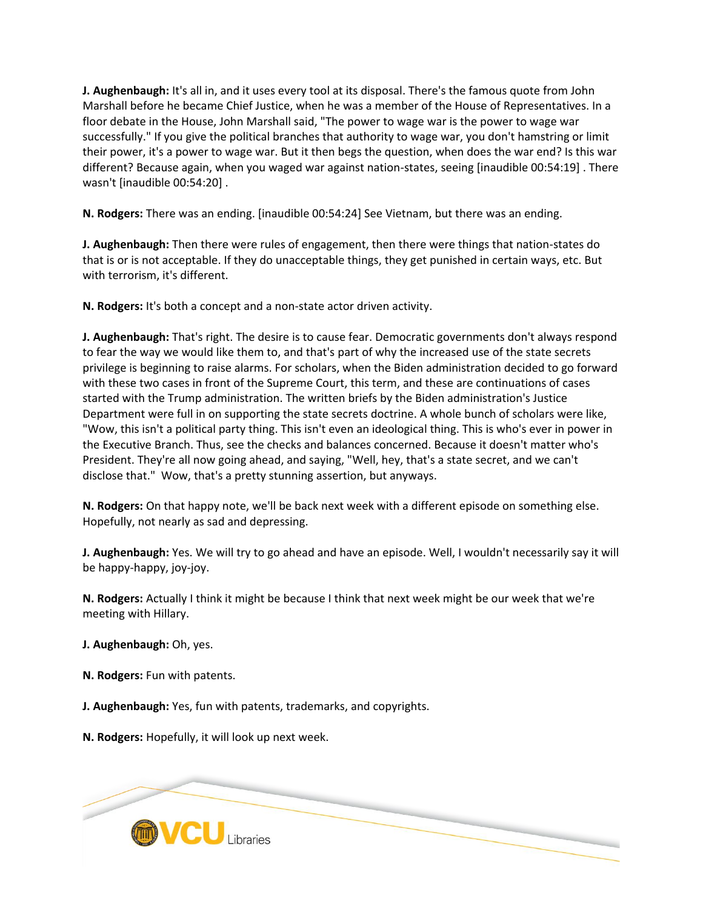**J. Aughenbaugh:** It's all in, and it uses every tool at its disposal. There's the famous quote from John Marshall before he became Chief Justice, when he was a member of the House of Representatives. In a floor debate in the House, John Marshall said, "The power to wage war is the power to wage war successfully." If you give the political branches that authority to wage war, you don't hamstring or limit their power, it's a power to wage war. But it then begs the question, when does the war end? Is this war different? Because again, when you waged war against nation-states, seeing [inaudible 00:54:19] . There wasn't [inaudible 00:54:20] .

**N. Rodgers:** There was an ending. [inaudible 00:54:24] See Vietnam, but there was an ending.

**J. Aughenbaugh:** Then there were rules of engagement, then there were things that nation-states do that is or is not acceptable. If they do unacceptable things, they get punished in certain ways, etc. But with terrorism, it's different.

**N. Rodgers:** It's both a concept and a non-state actor driven activity.

**J. Aughenbaugh:** That's right. The desire is to cause fear. Democratic governments don't always respond to fear the way we would like them to, and that's part of why the increased use of the state secrets privilege is beginning to raise alarms. For scholars, when the Biden administration decided to go forward with these two cases in front of the Supreme Court, this term, and these are continuations of cases started with the Trump administration. The written briefs by the Biden administration's Justice Department were full in on supporting the state secrets doctrine. A whole bunch of scholars were like, "Wow, this isn't a political party thing. This isn't even an ideological thing. This is who's ever in power in the Executive Branch. Thus, see the checks and balances concerned. Because it doesn't matter who's President. They're all now going ahead, and saying, "Well, hey, that's a state secret, and we can't disclose that." Wow, that's a pretty stunning assertion, but anyways.

**N. Rodgers:** On that happy note, we'll be back next week with a different episode on something else. Hopefully, not nearly as sad and depressing.

**J. Aughenbaugh:** Yes. We will try to go ahead and have an episode. Well, I wouldn't necessarily say it will be happy-happy, joy-joy.

**N. Rodgers:** Actually I think it might be because I think that next week might be our week that we're meeting with Hillary.

**J. Aughenbaugh:** Oh, yes.

**N. Rodgers:** Fun with patents.

**J. Aughenbaugh:** Yes, fun with patents, trademarks, and copyrights.

**N. Rodgers:** Hopefully, it will look up next week.